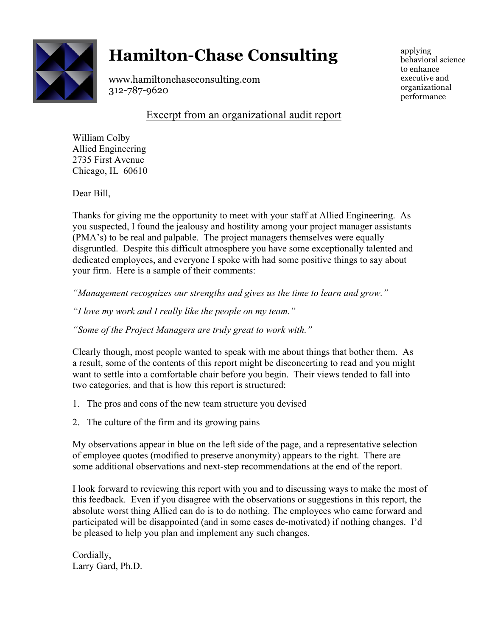

# **Hamilton-Chase Consulting**

www.hamiltonchaseconsulting.com 312-787-9620

applying behavioral science to enhance executive and organizational performance

# Excerpt from an organizational audit report

William Colby Allied Engineering 2735 First Avenue Chicago, IL 60610

Dear Bill,

Thanks for giving me the opportunity to meet with your staff at Allied Engineering. As you suspected, I found the jealousy and hostility among your project manager assistants (PMA's) to be real and palpable. The project managers themselves were equally disgruntled. Despite this difficult atmosphere you have some exceptionally talented and dedicated employees, and everyone I spoke with had some positive things to say about your firm. Here is a sample of their comments:

*"Management recognizes our strengths and gives us the time to learn and grow."*

*"I love my work and I really like the people on my team."* 

*"Some of the Project Managers are truly great to work with."* 

Clearly though, most people wanted to speak with me about things that bother them. As a result, some of the contents of this report might be disconcerting to read and you might want to settle into a comfortable chair before you begin. Their views tended to fall into two categories, and that is how this report is structured:

- 1. The pros and cons of the new team structure you devised
- 2. The culture of the firm and its growing pains

My observations appear in blue on the left side of the page, and a representative selection of employee quotes (modified to preserve anonymity) appears to the right. There are some additional observations and next-step recommendations at the end of the report.

I look forward to reviewing this report with you and to discussing ways to make the most of this feedback. Even if you disagree with the observations or suggestions in this report, the absolute worst thing Allied can do is to do nothing. The employees who came forward and participated will be disappointed (and in some cases de-motivated) if nothing changes. I'd be pleased to help you plan and implement any such changes.

Cordially, Larry Gard, Ph.D.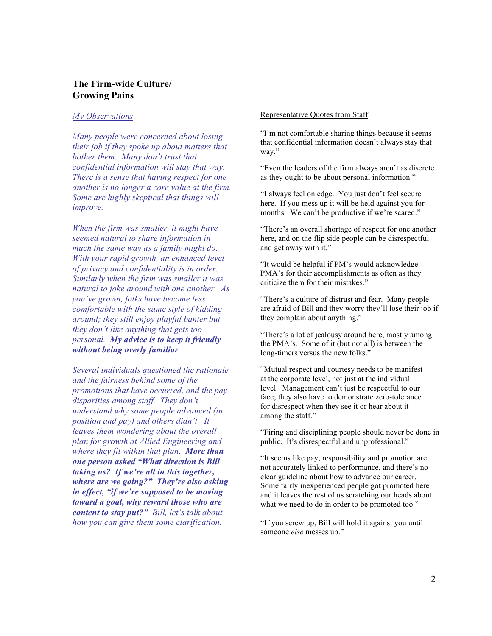## **The Firm-wide Culture/ Growing Pains**

#### *My Observations*

*Many people were concerned about losing their job if they spoke up about matters that bother them. Many don't trust that confidential information will stay that way. There is a sense that having respect for one another is no longer a core value at the firm. Some are highly skeptical that things will improve.* 

*When the firm was smaller, it might have seemed natural to share information in much the same way as a family might do. With your rapid growth, an enhanced level of privacy and confidentiality is in order. Similarly when the firm was smaller it was natural to joke around with one another. As you've grown, folks have become less comfortable with the same style of kidding around; they still enjoy playful banter but they don't like anything that gets too personal. My advice is to keep it friendly without being overly familiar.* 

*Several individuals questioned the rationale and the fairness behind some of the promotions that have occurred, and the pay disparities among staff. They don't understand why some people advanced (in position and pay) and others didn't. It leaves them wondering about the overall plan for growth at Allied Engineering and where they fit within that plan. More than one person asked "What direction is Bill taking us? If we're all in this together, where are we going?" They're also asking in effect, "if we're supposed to be moving toward a goal, why reward those who are content to stay put?" Bill, let's talk about how you can give them some clarification.*

#### Representative Quotes from Staff

"I'm not comfortable sharing things because it seems that confidential information doesn't always stay that way."

"Even the leaders of the firm always aren't as discrete as they ought to be about personal information."

"I always feel on edge. You just don't feel secure here. If you mess up it will be held against you for months. We can't be productive if we're scared."

"There's an overall shortage of respect for one another here, and on the flip side people can be disrespectful and get away with it."

"It would be helpful if PM's would acknowledge PMA's for their accomplishments as often as they criticize them for their mistakes."

"There's a culture of distrust and fear. Many people are afraid of Bill and they worry they'll lose their job if they complain about anything."

"There's a lot of jealousy around here, mostly among the PMA's. Some of it (but not all) is between the long-timers versus the new folks."

"Mutual respect and courtesy needs to be manifest at the corporate level, not just at the individual level. Management can't just be respectful to our face; they also have to demonstrate zero-tolerance for disrespect when they see it or hear about it among the staff."

"Firing and disciplining people should never be done in public. It's disrespectful and unprofessional."

"It seems like pay, responsibility and promotion are not accurately linked to performance, and there's no clear guideline about how to advance our career. Some fairly inexperienced people got promoted here and it leaves the rest of us scratching our heads about what we need to do in order to be promoted too."

"If you screw up, Bill will hold it against you until someone *else* messes up."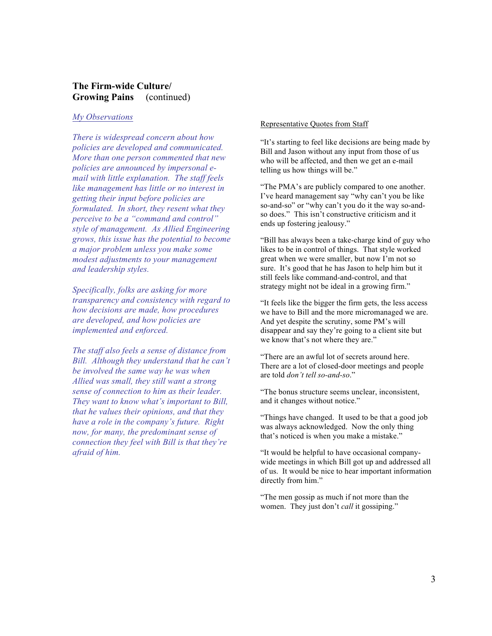## **The Firm-wide Culture/ Growing Pains** (continued)

#### *My Observations*

*There is widespread concern about how policies are developed and communicated. More than one person commented that new policies are announced by impersonal email with little explanation. The staff feels like management has little or no interest in getting their input before policies are formulated. In short, they resent what they perceive to be a "command and control" style of management. As Allied Engineering grows, this issue has the potential to become a major problem unless you make some modest adjustments to your management and leadership styles.* 

*Specifically, folks are asking for more transparency and consistency with regard to how decisions are made, how procedures are developed, and how policies are implemented and enforced.* 

*The staff also feels a sense of distance from Bill. Although they understand that he can't be involved the same way he was when Allied was small, they still want a strong sense of connection to him as their leader. They want to know what's important to Bill, that he values their opinions, and that they have a role in the company's future. Right now, for many, the predominant sense of connection they feel with Bill is that they're afraid of him.*

#### Representative Quotes from Staff

"It's starting to feel like decisions are being made by Bill and Jason without any input from those of us who will be affected, and then we get an e-mail telling us how things will be."

"The PMA's are publicly compared to one another. I've heard management say "why can't you be like so-and-so" or "why can't you do it the way so-andso does." This isn't constructive criticism and it ends up fostering jealousy."

"Bill has always been a take-charge kind of guy who likes to be in control of things. That style worked great when we were smaller, but now I'm not so sure. It's good that he has Jason to help him but it still feels like command-and-control, and that strategy might not be ideal in a growing firm."

"It feels like the bigger the firm gets, the less access we have to Bill and the more micromanaged we are. And yet despite the scrutiny, some PM's will disappear and say they're going to a client site but we know that's not where they are."

"There are an awful lot of secrets around here. There are a lot of closed-door meetings and people are told *don't tell so-and-so*."

"The bonus structure seems unclear, inconsistent, and it changes without notice."

"Things have changed. It used to be that a good job was always acknowledged. Now the only thing that's noticed is when you make a mistake."

"It would be helpful to have occasional companywide meetings in which Bill got up and addressed all of us. It would be nice to hear important information directly from him."

"The men gossip as much if not more than the women. They just don't *call* it gossiping."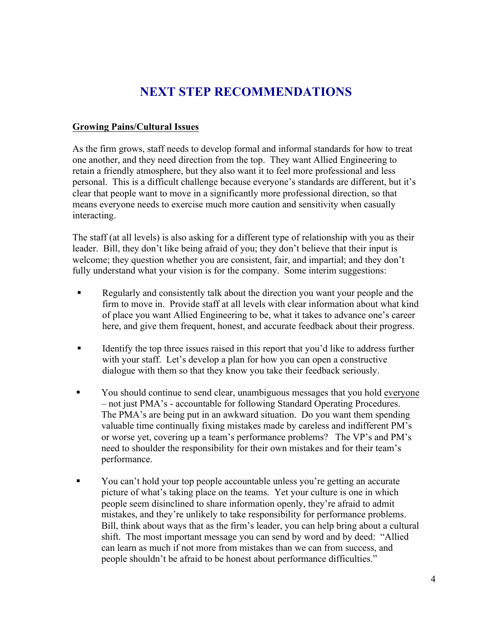# **NEXT STEP RECOMMENDATIONS**

# **Growing Pains/Cultural Issues**

As the firm grows, staff needs to develop formal and informal standards for how to treat one another, and they need direction from the top. They want Allied Engineering to retain a friendly atmosphere, but they also want it to feel more professional and less personal. This is a difficult challenge because everyone's standards are different, but it's clear that people want to move in a significantly more professional direction, so that means everyone needs to exercise much more caution and sensitivity when casually interacting.

The staff (at all levels) is also asking for a different type of relationship with you as their leader. Bill, they don't like being afraid of you; they don't believe that their input is welcome; they question whether you are consistent, fair, and impartial; and they don't fully understand what your vision is for the company. Some interim suggestions:

- Regularly and consistently talk about the direction you want your people and the firm to move in. Provide staff at all levels with clear information about what kind of place you want Allied Engineering to be, what it takes to advance one's career here, and give them frequent, honest, and accurate feedback about their progress.
- **•** Identify the top three issues raised in this report that you'd like to address further with your staff. Let's develop a plan for how you can open a constructive dialogue with them so that they know you take their feedback seriously.
- § You should continue to send clear, unambiguous messages that you hold everyone – not just PMA's - accountable for following Standard Operating Procedures. The PMA's are being put in an awkward situation. Do you want them spending valuable time continually fixing mistakes made by careless and indifferent PM's or worse yet, covering up a team's performance problems? The VP's and PM's need to shoulder the responsibility for their own mistakes and for their team's performance.
- You can't hold your top people accountable unless you're getting an accurate picture of what's taking place on the teams. Yet your culture is one in which people seem disinclined to share information openly, they're afraid to admit mistakes, and they're unlikely to take responsibility for performance problems. Bill, think about ways that as the firm's leader, you can help bring about a cultural shift. The most important message you can send by word and by deed: "Allied can learn as much if not more from mistakes than we can from success, and people shouldn't be afraid to be honest about performance difficulties."